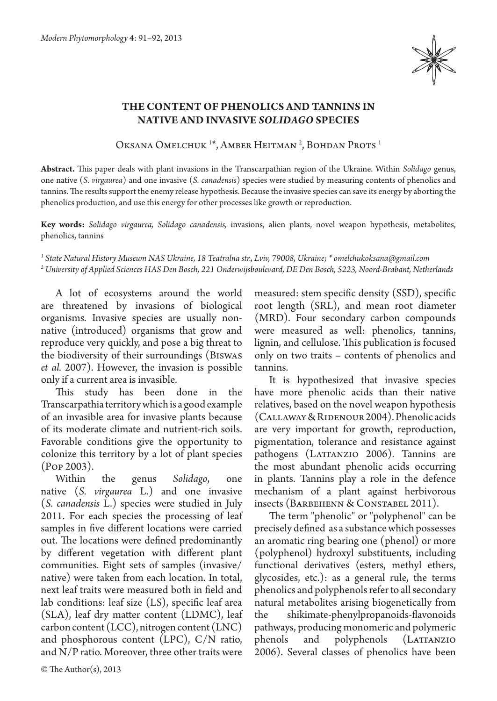

## **The content of phenolics and tannins in native and invasive** *Solidago* **species**

Oksana Omelchuk <sup>1\*</sup>, Amber Heitman<sup>2</sup>, Bohdan Prots<sup>1</sup>

**Abstract.** This paper deals with plant invasions in the Transcarpathian region of the Ukraine. Within *Solidago* genus, one native (*S. virgaurea*) and one invasive (*S. canadensis*) species were studied by measuring contents of phenolics and tannins. The results support the enemy release hypothesis. Because the invasive species can save its energy by aborting the phenolics production, and use this energy for other processes like growth or reproduction.

**Key words:** *Solidago virgaurea, Solidago canadensis,* invasions, alien plants, novel weapon hypothesis, metabolites, phenolics, tannins

*1 State Natural History Museum NAS Ukraine, 18 Teatralna str., Lviv, 79008, Ukraine; \* omelchukoksana@gmail.com 2 University of Applied Sciences HAS Den Bosch, 221 Onderwijsboulevard, DE Den Bosch, 5223, Noord-Brabant, Netherlands*

A lot of ecosystems around the world are threatened by invasions of biological organisms. Invasive species are usually nonnative (introduced) organisms that grow and reproduce very quickly, and pose a big threat to the biodiversity of their surroundings (Biswas *et al.* 2007). However, the invasion is possible only if a current area is invasible.

This study has been done in the Transcarpathia territory which is a good example of an invasible area for invasive plants because of its moderate climate and nutrient-rich soils. Favorable conditions give the opportunity to colonize this territory by a lot of plant species (Pop 2003).

Within the genus *Solidago*, one native (*S. virgaurea* L.) and one invasive (*S. canadensis*  L.) species were studied in July 2011. For each species the processing of leaf samples in five different locations were carried out. The locations were defined predominantly by different vegetation with different plant communities. Eight sets of samples (invasive/ native) were taken from each location. In total, next leaf traits were measured both in field and lab conditions: leaf size (LS), specific leaf area (SLA), leaf dry matter content (LDMC), leaf carbon content (LCC), nitrogen content (LNC) and phosphorous content (LPC), C/N ratio, and N/P ratio. Moreover, three other traits were

lignin, and cellulose. This publication is focused only on two traits – contents of phenolics and tannins. It is hypothesized that invasive species have more phenolic acids than their native relatives, based on the novel weapon hypothesis (Callaway & Ridenour 2004). Phenolic acids are very important for growth, reproduction,

pigmentation, tolerance and resistance against pathogens (LATTANZIO 2006). Tannins are the most abundant phenolic acids occurring in plants. Tannins play a role in the defence mechanism of a plant against herbivorous insects (Barbehenn & Constabel 2011).

measured: stem specific density (SSD), specific root length (SRL), and mean root diameter (MRD). Four secondary carbon compounds were measured as well: phenolics, tannins,

The term "phenolic" or "polyphenol" can be precisely defined as a substance which possesses an aromatic ring bearing one (phenol) or more (polyphenol) hydroxyl substituents, including functional derivatives (esters, methyl ethers, glycosides, etc.): as a general rule, the terms phenolics and polyphenols refer to all secondary natural metabolites arising biogenetically from the shikimate-phenylpropanoids-flavonoids pathways, producing monomeric and polymeric phenols and polyphenols (LATTANZIO 2006). Several classes of phenolics have been